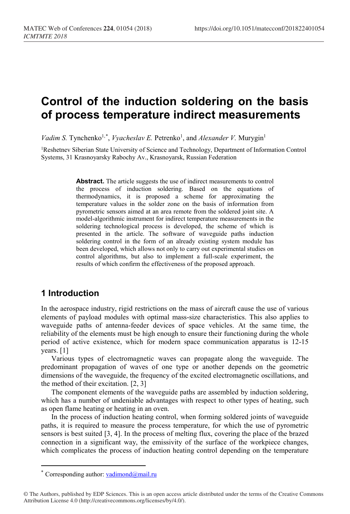# **Control of the induction soldering on the basis of process temperature indirect measurements**

Vadim S. Tynchenko<sup>1,[\\*](#page-0-0)</sup>, Vyacheslav E. Petrenko<sup>1</sup>, and Alexander V. Murygin<sup>1</sup>

1Reshetnev Siberian State University of Science and Technology, Department of Information Control Systems, 31 Krasnoyarsky Rabochy Av., Krasnoyarsk, Russian Federation

> Abstract. The article suggests the use of indirect measurements to control the process of induction soldering. Based on the equations of thermodynamics, it is proposed a scheme for approximating the temperature values in the solder zone on the basis of information from pyrometric sensors aimed at an area remote from the soldered joint site. A model-algorithmic instrument for indirect temperature measurements in the soldering technological process is developed, the scheme of which is presented in the article. The software of waveguide paths induction soldering control in the form of an already existing system module has been developed, which allows not only to carry out experimental studies on control algorithms, but also to implement a full-scale experiment, the results of which confirm the effectiveness of the proposed approach.

# **1 Introduction**

In the aerospace industry, rigid restrictions on the mass of aircraft cause the use of various elements of payload modules with optimal mass-size characteristics. This also applies to waveguide paths of antenna-feeder devices of space vehicles. At the same time, the reliability of the elements must be high enough to ensure their functioning during the whole period of active existence, which for modern space communication apparatus is 12-15 years. [1]

Various types of electromagnetic waves can propagate along the waveguide. The predominant propagation of waves of one type or another depends on the geometric dimensions of the waveguide, the frequency of the excited electromagnetic oscillations, and the method of their excitation. [2, 3]

The component elements of the waveguide paths are assembled by induction soldering, which has a number of undeniable advantages with respect to other types of heating, such as open flame heating or heating in an oven.

In the process of induction heating control, when forming soldered joints of waveguide paths, it is required to measure the process temperature, for which the use of pyrometric sensors is best suited [3, 4]. In the process of melting flux, covering the place of the brazed connection in a significant way, the emissivity of the surface of the workpiece changes, which complicates the process of induction heating control depending on the temperature

 $\overline{a}$ 

Corresponding author:  $v$ adimond@mail.ru

<span id="page-0-0"></span><sup>©</sup> The Authors, published by EDP Sciences. This is an open access article distributed under the terms of the Creative Commons Attribution License 4.0 (http://creativecommons.org/licenses/by/4.0/).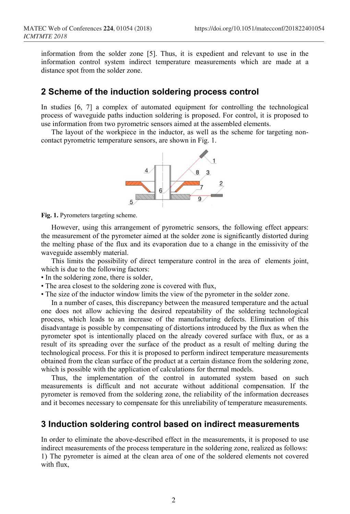information from the solder zone [5]. Thus, it is expedient and relevant to use in the information control system indirect temperature measurements which are made at a distance spot from the solder zone.

### **2 Scheme of the induction soldering process control**

In studies [6, 7] a complex of automated equipment for controlling the technological process of waveguide paths induction soldering is proposed. For control, it is proposed to use information from two pyrometric sensors aimed at the assembled elements.

The layout of the workpiece in the inductor, as well as the scheme for targeting noncontact pyrometric temperature sensors, are shown in Fig. 1.



**Fig. 1.** Pyrometers targeting scheme.

However, using this arrangement of pyrometric sensors, the following effect appears: the measurement of the pyrometer aimed at the solder zone is significantly distorted during the melting phase of the flux and its evaporation due to a change in the emissivity of the waveguide assembly material.

This limits the possibility of direct temperature control in the area of elements joint, which is due to the following factors:

- In the soldering zone, there is solder,
- The area closest to the soldering zone is covered with flux,
- The size of the inductor window limits the view of the pyrometer in the solder zone.

In a number of cases, this discrepancy between the measured temperature and the actual one does not allow achieving the desired repeatability of the soldering technological process, which leads to an increase of the manufacturing defects. Elimination of this disadvantage is possible by compensating of distortions introduced by the flux as when the pyrometer spot is intentionally placed on the already covered surface with flux, or as a result of its spreading over the surface of the product as a result of melting during the technological process. For this it is proposed to perform indirect temperature measurements obtained from the clean surface of the product at a certain distance from the soldering zone, which is possible with the application of calculations for thermal models.

Thus, the implementation of the control in automated system based on such measurements is difficult and not accurate without additional compensation. If the pyrometer is removed from the soldering zone, the reliability of the information decreases and it becomes necessary to compensate for this unreliability of temperature measurements.

### **3 Induction soldering control based on indirect measurements**

In order to eliminate the above-described effect in the measurements, it is proposed to use indirect measurements of the process temperature in the soldering zone, realized as follows: 1) The pyrometer is aimed at the clean area of one of the soldered elements not covered with flux,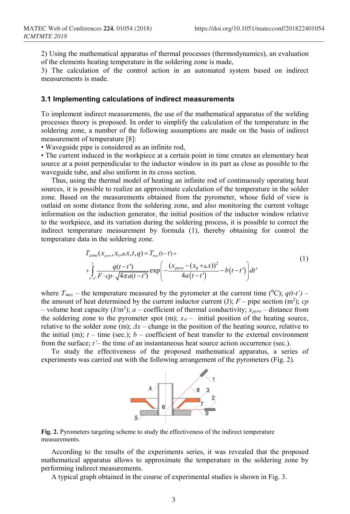2) Using the mathematical apparatus of thermal processes (thermodynamics), an evaluation of the elements heating temperature in the soldering zone is made,

3) The calculation of the control action in an automated system based on indirect measurements is made.

#### **3.1 Implementing calculations of indirect measurements**

To implement indirect measurements, the use of the mathematical apparatus of the welding processes theory is proposed. In order to simplify the calculation of the temperature in the soldering zone, a number of the following assumptions are made on the basis of indirect measurement of temperature [8]:

• Waveguide pipe is considered as an infinite rod,

• The current induced in the workpiece at a certain point in time creates an elementary heat source at a point perpendicular to the inductor window in its part as close as possible to the waveguide tube, and also uniform in its cross section.

Thus, using the thermal model of heating an infinite rod of continuously operating heat sources, it is possible to realize an approximate calculation of the temperature in the solder zone. Based on the measurements obtained from the pyrometer, whose field of view is outlaid on some distance from the soldering zone, and also monitoring the current voltage information on the induction generator, the initial position of the inductor window relative to the workpiece, and its variation during the soldering process, it is possible to correct the indirect temperature measurement by formula (1), thereby obtaining for control the temperature data in the soldering zone.

$$
T_{zone}(x_{pyro}, x_o, \Delta x, t, q) = T_{mes}(t - t) +
$$
  
+ 
$$
\int_{t-t'}^{t} \frac{q(t - t')}{F \cdot cp \cdot \sqrt{4\pi a(t - t')}} exp\left(-\frac{(x_{pyro} - (x_0 + \Delta x))^2}{4a(t - t')} - b(t - t')\right) dt'
$$
 (1)

where  $T_{\text{mes}}$  – the temperature measured by the pyrometer at the current time ( ${}^0C$ );  $q(t-t')$  – the amount of heat determined by the current inductor current  $(J)$ ;  $F$  – pipe section  $(m^2)$ ; *cp*  $-$  volume heat capacity (J/m<sup>3</sup>); *a* – coefficient of thermal conductivity;  $x_{pyro}$  – distance from the soldering zone to the pyrometer spot  $(m)$ ;  $x_0$  – initial position of the heating source, relative to the solder zone (m); *Δx* – change in the position of the heating source, relative to the initial (m);  $t$  – time (sec.);  $b$  – coefficient of heat transfer to the external environment from the surface; *t'*– the time of an instantaneous heat source action occurrence (sec.).

To study the effectiveness of the proposed mathematical apparatus, a series of experiments was carried out with the following arrangement of the pyrometers (Fig. 2).



**Fig. 2.** Pyrometers targeting scheme to study the effectiveness of the indirect temperature measurements.

According to the results of the experiments series, it was revealed that the proposed mathematical apparatus allows to approximate the temperature in the soldering zone by performing indirect measurements.

A typical graph obtained in the course of experimental studies is shown in Fig. 3.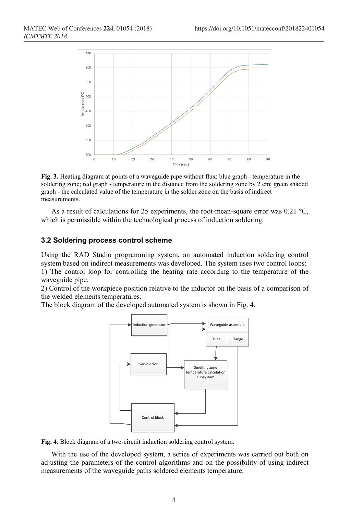

**Fig. 3.** Heating diagram at points of a waveguide pipe without flux: blue graph - temperature in the soldering zone; red graph - temperature in the distance from the soldering zone by 2 cm; green shaded graph - the calculated value of the temperature in the solder zone on the basis of indirect measurements.

As a result of calculations for 25 experiments, the root-mean-square error was  $0.21 \degree C$ , which is permissible within the technological process of induction soldering.

### **3.2 Soldering process control scheme**

Using the RAD Studio programming system, an automated induction soldering control system based on indirect measurements was developed. The system uses two control loops:

1) The control loop for controlling the heating rate according to the temperature of the waveguide pipe.

2) Control of the workpiece position relative to the inductor on the basis of a comparison of the welded elements temperatures.

The block diagram of the developed automated system is shown in Fig. 4.



**Fig. 4.** Block diagram of a two-circuit induction soldering control system.

With the use of the developed system, a series of experiments was carried out both on adjusting the parameters of the control algorithms and on the possibility of using indirect measurements of the waveguide paths soldered elements temperature.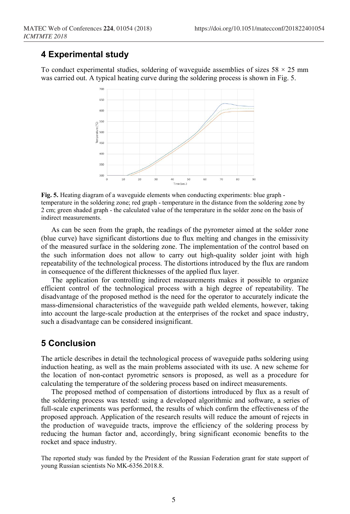# **4 Experimental study**

To conduct experimental studies, soldering of waveguide assemblies of sizes  $58 \times 25$  mm was carried out. A typical heating curve during the soldering process is shown in Fig. 5.



**Fig. 5.** Heating diagram of a waveguide elements when conducting experiments: blue graph temperature in the soldering zone; red graph - temperature in the distance from the soldering zone by 2 cm; green shaded graph - the calculated value of the temperature in the solder zone on the basis of indirect measurements.

As can be seen from the graph, the readings of the pyrometer aimed at the solder zone (blue curve) have significant distortions due to flux melting and changes in the emissivity of the measured surface in the soldering zone. The implementation of the control based on the such information does not allow to carry out high-quality solder joint with high repeatability of the technological process. The distortions introduced by the flux are random in consequence of the different thicknesses of the applied flux layer.

The application for controlling indirect measurements makes it possible to organize efficient control of the technological process with a high degree of repeatability. The disadvantage of the proposed method is the need for the operator to accurately indicate the mass-dimensional characteristics of the waveguide path welded elements, however, taking into account the large-scale production at the enterprises of the rocket and space industry, such a disadvantage can be considered insignificant.

# **5 Conclusion**

The article describes in detail the technological process of waveguide paths soldering using induction heating, as well as the main problems associated with its use. A new scheme for the location of non-contact pyrometric sensors is proposed, as well as a procedure for calculating the temperature of the soldering process based on indirect measurements.

The proposed method of compensation of distortions introduced by flux as a result of the soldering process was tested: using a developed algorithmic and software, a series of full-scale experiments was performed, the results of which confirm the effectiveness of the proposed approach. Application of the research results will reduce the amount of rejects in the production of waveguide tracts, improve the efficiency of the soldering process by reducing the human factor and, accordingly, bring significant economic benefits to the rocket and space industry.

The reported study was funded by the President of the Russian Federation grant for state support of young Russian scientists No MK-6356.2018.8.